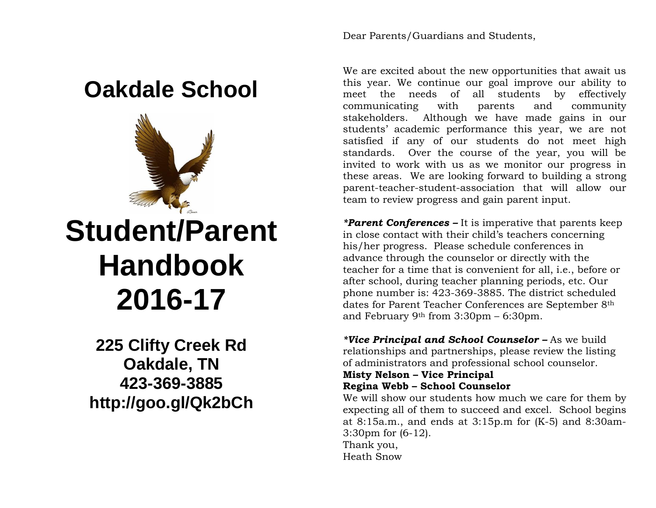## **Oakdale School**



# **Student/Parent Handbook 2016-17**

**225 Clifty Creek Rd Oakdale, TN 423-369-3885 http://goo.gl/Qk2bCh** Dear Parents/Guardians and Students,

We are excited about the new opportunities that await us this year. We continue our goal improve our ability to meet the needs of all students by effectively communicating with parents and community stakeholders. Although we have made gains in our students' academic performance this year, we are not satisfied if any of our students do not meet high standards. Over the course of the year, you will be invited to work with us as we monitor our progress in these areas. We are looking forward to building a strong parent-teacher-student-association that will allow our team to review progress and gain parent input.

*\*Parent Conferences –* It is imperative that parents keep in close contact with their child's teachers concerning his/her progress. Please schedule conferences in advance through the counselor or directly with the teacher for a time that is convenient for all, i.e., before or after school, during teacher planning periods, etc. Our phone number is: 423-369-3885. The district scheduled dates for Parent Teacher Conferences are September 8th and February 9th from 3:30pm – 6:30pm.

*\*Vice Principal and School Counselor –* As we build relationships and partnerships, please review the listing of administrators and professional school counselor.

#### **Misty Nelson – Vice Principal Regina Webb – School Counselor**

We will show our students how much we care for them by expecting all of them to succeed and excel. School begins at 8:15a.m., and ends at 3:15p.m for (K-5) and 8:30am-3:30pm for (6-12). Thank you, Heath Snow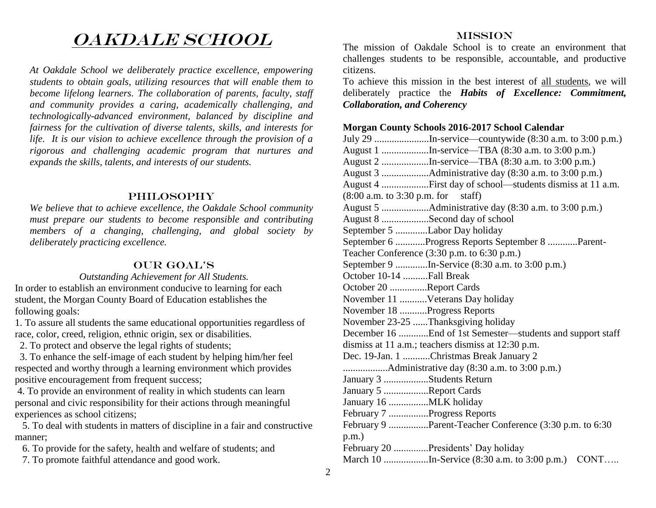## OAKDALE SCHOOL

*At Oakdale School we deliberately practice excellence, empowering students to obtain goals, utilizing resources that will enable them to become lifelong learners. The collaboration of parents, faculty, staff and community provides a caring, academically challenging, and technologically-advanced environment, balanced by discipline and fairness for the cultivation of diverse talents, skills, and interests for life. It is our vision to achieve excellence through the provision of a rigorous and challenging academic program that nurtures and expands the skills, talents, and interests of our students.*

#### PHILOSOPHY

*We believe that to achieve excellence, the Oakdale School community must prepare our students to become responsible and contributing members of a changing, challenging, and global society by deliberately practicing excellence.*

#### OUR GOAL'S

#### *Outstanding Achievement for All Students.*

In order to establish an environment conducive to learning for each student, the Morgan County Board of Education establishes the following goals:

1. To assure all students the same educational opportunities regardless of race, color, creed, religion, ethnic origin, sex or disabilities.

2. To protect and observe the legal rights of students;

 3. To enhance the self-image of each student by helping him/her feel respected and worthy through a learning environment which provides positive encouragement from frequent success;

4. To provide an environment of reality in which students can learn personal and civic responsibility for their actions through meaningful experiences as school citizens;

 5. To deal with students in matters of discipline in a fair and constructive manner;

- 6. To provide for the safety, health and welfare of students; and
- 7. To promote faithful attendance and good work.

#### MISSION

The mission of Oakdale School is to create an environment that challenges students to be responsible, accountable, and productive citizens.

To achieve this mission in the best interest of all students, we will deliberately practice the *Habits of Excellence: Commitment, Collaboration, and Coherency*

#### **Morgan County Schools 2016-2017 School Calendar**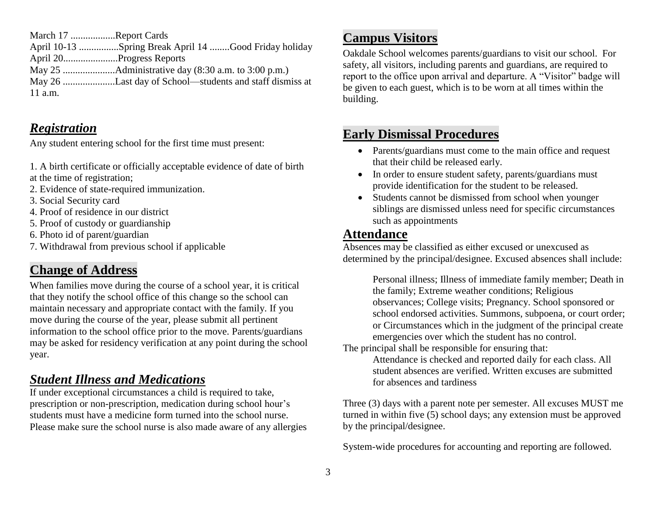March 17 ..................Report Cards

April 10-13 ................Spring Break April 14 ........Good Friday holiday April 20......................Progress Reports

May 25 .....................Administrative day (8:30 a.m. to 3:00 p.m.)

May 26 .....................Last day of School—students and staff dismiss at 11 a.m.

#### *Registration*

Any student entering school for the first time must present:

1. A birth certificate or officially acceptable evidence of date of birth at the time of registration;

- 2. Evidence of state-required immunization.
- 3. Social Security card
- 4. Proof of residence in our district
- 5. Proof of custody or guardianship
- 6. Photo id of parent/guardian
- 7. Withdrawal from previous school if applicable

## **Change of Address**

When families move during the course of a school year, it is critical that they notify the school office of this change so the school can maintain necessary and appropriate contact with the family. If you move during the course of the year, please submit all pertinent information to the school office prior to the move. Parents/guardians may be asked for residency verification at any point during the school year.

### *Student Illness and Medications*

If under exceptional circumstances a child is required to take, prescription or non-prescription, medication during school hour's students must have a medicine form turned into the school nurse. Please make sure the school nurse is also made aware of any allergies

## **Campus Visitors**

Oakdale School welcomes parents/guardians to visit our school. For safety, all visitors, including parents and guardians, are required to report to the office upon arrival and departure. A "Visitor" badge will be given to each guest, which is to be worn at all times within the building.

### **Early Dismissal Procedures**

- Parents/guardians must come to the main office and request that their child be released early.
- In order to ensure student safety, parents/guardians must provide identification for the student to be released.
- Students cannot be dismissed from school when younger siblings are dismissed unless need for specific circumstances such as appointments

#### **Attendance**

Absences may be classified as either excused or unexcused as determined by the principal/designee. Excused absences shall include:

Personal illness; Illness of immediate family member; Death in the family; Extreme weather conditions; Religious observances; College visits; Pregnancy. School sponsored or school endorsed activities. Summons, subpoena, or court order; or Circumstances which in the judgment of the principal create emergencies over which the student has no control.

The principal shall be responsible for ensuring that:

Attendance is checked and reported daily for each class. All student absences are verified. Written excuses are submitted for absences and tardiness

Three (3) days with a parent note per semester. All excuses MUST me turned in within five (5) school days; any extension must be approved by the principal/designee.

System-wide procedures for accounting and reporting are followed.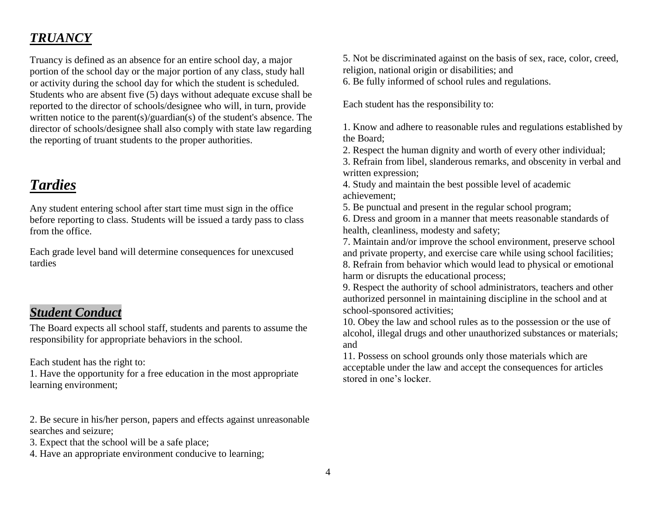## *TRUANCY*

Truancy is defined as an absence for an entire school day, a major portion of the school day or the major portion of any class, study hall or activity during the school day for which the student is scheduled. Students who are absent five (5) days without adequate excuse shall be reported to the director of schools/designee who will, in turn, provide written notice to the parent(s)/guardian(s) of the student's absence. The director of schools/designee shall also comply with state law regarding the reporting of truant students to the proper authorities.

## *Tardies*

Any student entering school after start time must sign in the office before reporting to class. Students will be issued a tardy pass to class from the office.

Each grade level band will determine consequences for unexcused tardies

#### *Student Conduct*

The Board expects all school staff, students and parents to assume the responsibility for appropriate behaviors in the school.

Each student has the right to:

1. Have the opportunity for a free education in the most appropriate learning environment;

2. Be secure in his/her person, papers and effects against unreasonable searches and seizure;

3. Expect that the school will be a safe place;

4. Have an appropriate environment conducive to learning;

5. Not be discriminated against on the basis of sex, race, color, creed, religion, national origin or disabilities; and

6. Be fully informed of school rules and regulations.

Each student has the responsibility to:

1. Know and adhere to reasonable rules and regulations established by the Board;

2. Respect the human dignity and worth of every other individual;

3. Refrain from libel, slanderous remarks, and obscenity in verbal and written expression;

4. Study and maintain the best possible level of academic achievement;

5. Be punctual and present in the regular school program;

6. Dress and groom in a manner that meets reasonable standards of health, cleanliness, modesty and safety;

7. Maintain and/or improve the school environment, preserve school and private property, and exercise care while using school facilities; 8. Refrain from behavior which would lead to physical or emotional harm or disrupts the educational process;

9. Respect the authority of school administrators, teachers and other authorized personnel in maintaining discipline in the school and at school-sponsored activities;

10. Obey the law and school rules as to the possession or the use of alcohol, illegal drugs and other unauthorized substances or materials; and

11. Possess on school grounds only those materials which are acceptable under the law and accept the consequences for articles stored in one's locker.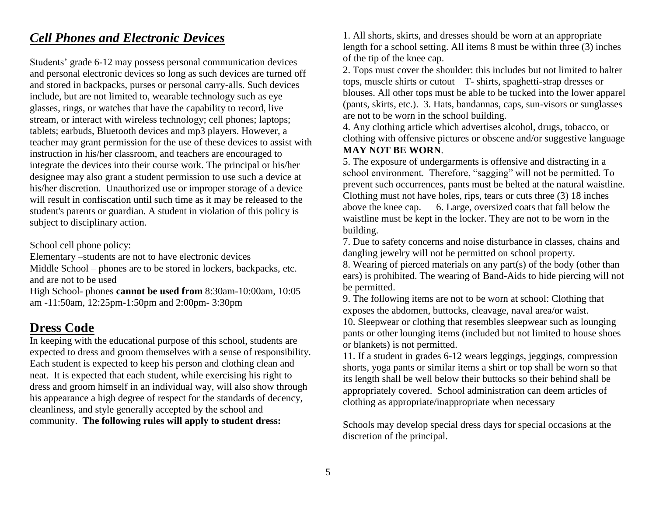#### *Cell Phones and Electronic Devices*

Students' grade 6-12 may possess personal communication devices and personal electronic devices so long as such devices are turned off and stored in backpacks, purses or personal carry-alls. Such devices include, but are not limited to, wearable technology such as eye glasses, rings, or watches that have the capability to record, live stream, or interact with wireless technology; cell phones; laptops; tablets; earbuds, Bluetooth devices and mp3 players. However, a teacher may grant permission for the use of these devices to assist with instruction in his/her classroom, and teachers are encouraged to integrate the devices into their course work. The principal or his/her designee may also grant a student permission to use such a device at his/her discretion. Unauthorized use or improper storage of a device will result in confiscation until such time as it may be released to the student's parents or guardian. A student in violation of this policy is subject to disciplinary action.

School cell phone policy:

Elementary –students are not to have electronic devices Middle School – phones are to be stored in lockers, backpacks, etc. and are not to be used

High School- phones **cannot be used from** 8:30am-10:00am, 10:05 am -11:50am, 12:25pm-1:50pm and 2:00pm- 3:30pm

## **Dress Code**

In keeping with the educational purpose of this school, students are expected to dress and groom themselves with a sense of responsibility. Each student is expected to keep his person and clothing clean and neat. It is expected that each student, while exercising his right to dress and groom himself in an individual way, will also show through his appearance a high degree of respect for the standards of decency, cleanliness, and style generally accepted by the school and community. **The following rules will apply to student dress:** 

1. All shorts, skirts, and dresses should be worn at an appropriate length for a school setting. All items 8 must be within three (3) inches of the tip of the knee cap.

2. Tops must cover the shoulder: this includes but not limited to halter tops, muscle shirts or cutout T- shirts, spaghetti-strap dresses or blouses. All other tops must be able to be tucked into the lower apparel (pants, skirts, etc.). 3. Hats, bandannas, caps, sun-visors or sunglasses are not to be worn in the school building.

4. Any clothing article which advertises alcohol, drugs, tobacco, or clothing with offensive pictures or obscene and/or suggestive language **MAY NOT BE WORN**.

5. The exposure of undergarments is offensive and distracting in a school environment. Therefore, "sagging" will not be permitted. To prevent such occurrences, pants must be belted at the natural waistline. Clothing must not have holes, rips, tears or cuts three (3) 18 inches above the knee cap. 6. Large, oversized coats that fall below the waistline must be kept in the locker. They are not to be worn in the building.

7. Due to safety concerns and noise disturbance in classes, chains and dangling jewelry will not be permitted on school property.

8. Wearing of pierced materials on any part(s) of the body (other than ears) is prohibited. The wearing of Band-Aids to hide piercing will not be permitted.

9. The following items are not to be worn at school: Clothing that exposes the abdomen, buttocks, cleavage, naval area/or waist.

10. Sleepwear or clothing that resembles sleepwear such as lounging pants or other lounging items (included but not limited to house shoes or blankets) is not permitted.

11. If a student in grades 6-12 wears leggings, jeggings, compression shorts, yoga pants or similar items a shirt or top shall be worn so that its length shall be well below their buttocks so their behind shall be appropriately covered. School administration can deem articles of clothing as appropriate/inappropriate when necessary

Schools may develop special dress days for special occasions at the discretion of the principal.